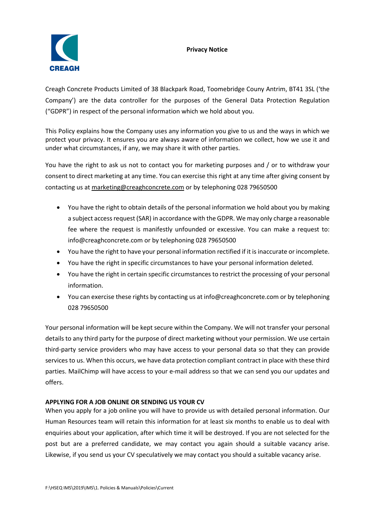## **Privacy Notice**



Creagh Concrete Products Limited of 38 Blackpark Road, Toomebridge Couny Antrim, BT41 3SL ('the Company') are the data controller for the purposes of the General Data Protection Regulation ("GDPR") in respect of the personal information which we hold about you.

This Policy explains how the Company uses any information you give to us and the ways in which we protect your privacy. It ensures you are always aware of information we collect, how we use it and under what circumstances, if any, we may share it with other parties.

You have the right to ask us not to contact you for marketing purposes and / or to withdraw your consent to direct marketing at any time. You can exercise this right at any time after giving consent by contacting us a[t marketing@creaghconcrete.com](mailto:marketing@creaghconcrete.com) or by telephoning 028 79650500

- You have the right to obtain details of the personal information we hold about you by making a subject access request (SAR) in accordance with the GDPR. We may only charge a reasonable fee where the request is manifestly unfounded or excessive. You can make a request to: info@creaghconcrete.com or by telephoning 028 79650500
- You have the right to have your personal information rectified if it is inaccurate or incomplete.
- You have the right in specific circumstances to have your personal information deleted.
- You have the right in certain specific circumstances to restrict the processing of your personal information.
- You can exercise these rights by contacting us at info@creaghconcrete.com or by telephoning 028 79650500

Your personal information will be kept secure within the Company. We will not transfer your personal details to any third party for the purpose of direct marketing without your permission. We use certain third-party service providers who may have access to your personal data so that they can provide services to us. When this occurs, we have data protection compliant contract in place with these third parties. MailChimp will have access to your e-mail address so that we can send you our updates and offers.

## **APPLYING FOR A JOB ONLINE OR SENDING US YOUR CV**

When you apply for a job online you will have to provide us with detailed personal information. Our Human Resources team will retain this information for at least six months to enable us to deal with enquiries about your application, after which time it will be destroyed. If you are not selected for the post but are a preferred candidate, we may contact you again should a suitable vacancy arise. Likewise, if you send us your CV speculatively we may contact you should a suitable vacancy arise.